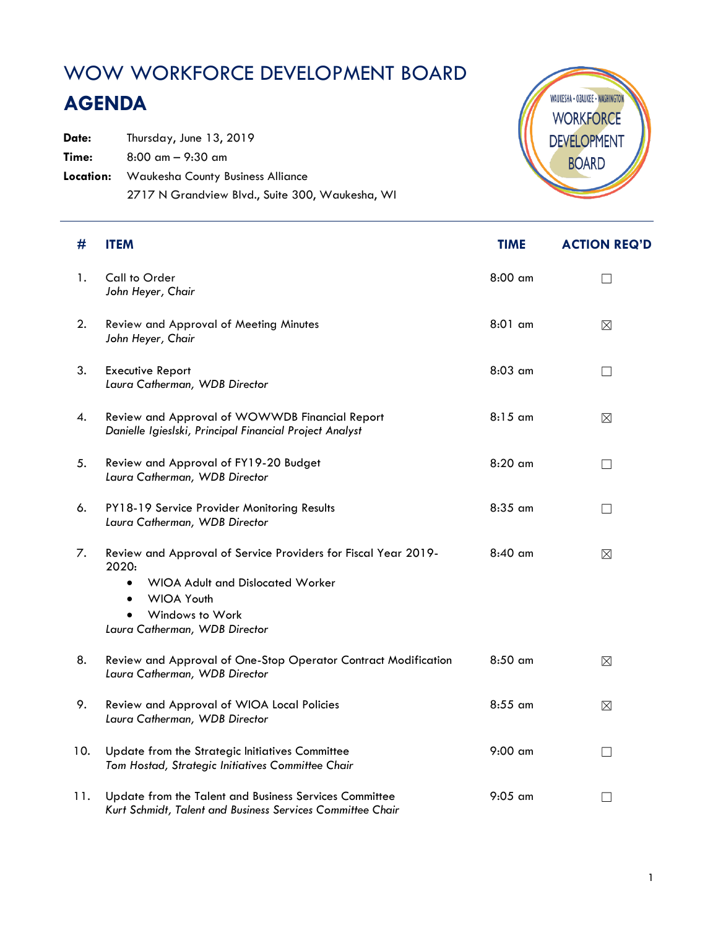## WOW WORKFORCE DEVELOPMENT BOARD

## **AGENDA**

Date: Thursday, June 13, 2019 **Time:** 8:00 am – 9:30 am **Location:** Waukesha County Business Alliance 2717 N Grandview Blvd., Suite 300, Waukesha, WI



| #   | <b>ITEM</b>                                                                                                                                                                                              | <b>TIME</b> | <b>ACTION REQ'D</b> |
|-----|----------------------------------------------------------------------------------------------------------------------------------------------------------------------------------------------------------|-------------|---------------------|
| 1.  | Call to Order<br>John Heyer, Chair                                                                                                                                                                       | 8:00 am     | $\vert \ \ \vert$   |
| 2.  | Review and Approval of Meeting Minutes<br>John Heyer, Chair                                                                                                                                              | 8:01 am     | $\boxtimes$         |
| 3.  | <b>Executive Report</b><br>Laura Catherman, WDB Director                                                                                                                                                 | 8:03 am     | $\Box$              |
| 4.  | Review and Approval of WOWWDB Financial Report<br>Danielle Igieslski, Principal Financial Project Analyst                                                                                                | $8:15$ am   | $\boxtimes$         |
| 5.  | Review and Approval of FY19-20 Budget<br>Laura Catherman, WDB Director                                                                                                                                   | $8:20$ am   | $\Box$              |
| 6.  | PY18-19 Service Provider Monitoring Results<br>Laura Catherman, WDB Director                                                                                                                             | 8:35 am     | Ш                   |
| 7.  | Review and Approval of Service Providers for Fiscal Year 2019-<br>2020:<br><b>WIOA Adult and Dislocated Worker</b><br>$\bullet$<br><b>WIOA Youth</b><br>Windows to Work<br>Laura Catherman, WDB Director | $8:40$ am   | $\boxtimes$         |
| 8.  | Review and Approval of One-Stop Operator Contract Modification<br>Laura Catherman, WDB Director                                                                                                          | $8:50$ am   | $\boxtimes$         |
| 9.  | Review and Approval of WIOA Local Policies<br>Laura Catherman, WDB Director                                                                                                                              | 8:55 am     | ⊠                   |
| 10. | Update from the Strategic Initiatives Committee<br>Tom Hostad, Strategic Initiatives Committee Chair                                                                                                     | $9:00$ am   | П                   |
| 11. | Update from the Talent and Business Services Committee<br>Kurt Schmidt, Talent and Business Services Committee Chair                                                                                     | $9:05$ am   |                     |